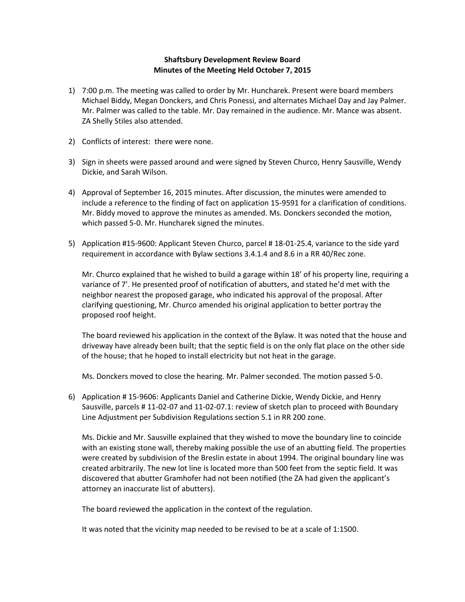## **Shaftsbury Development Review Board Minutes of the Meeting Held October 7, 2015**

- 1) 7:00 p.m. The meeting was called to order by Mr. Huncharek. Present were board members Michael Biddy, Megan Donckers, and Chris Ponessi, and alternates Michael Day and Jay Palmer. Mr. Palmer was called to the table. Mr. Day remained in the audience. Mr. Mance was absent. ZA Shelly Stiles also attended.
- 2) Conflicts of interest: there were none.
- 3) Sign in sheets were passed around and were signed by Steven Churco, Henry Sausville, Wendy Dickie, and Sarah Wilson.
- 4) Approval of September 16, 2015 minutes. After discussion, the minutes were amended to include a reference to the finding of fact on application 15-9591 for a clarification of conditions. Mr. Biddy moved to approve the minutes as amended. Ms. Donckers seconded the motion, which passed 5-0. Mr. Huncharek signed the minutes.
- 5) Application #15-9600: Applicant Steven Churco, parcel # 18-01-25.4, variance to the side yard requirement in accordance with Bylaw sections 3.4.1.4 and 8.6 in a RR 40/Rec zone.

Mr. Churco explained that he wished to build a garage within 18' of his property line, requiring a variance of 7'. He presented proof of notification of abutters, and stated he'd met with the neighbor nearest the proposed garage, who indicated his approval of the proposal. After clarifying questioning, Mr. Churco amended his original application to better portray the proposed roof height.

The board reviewed his application in the context of the Bylaw. It was noted that the house and driveway have already been built; that the septic field is on the only flat place on the other side of the house; that he hoped to install electricity but not heat in the garage.

Ms. Donckers moved to close the hearing. Mr. Palmer seconded. The motion passed 5-0.

6) Application # 15-9606: Applicants Daniel and Catherine Dickie, Wendy Dickie, and Henry Sausville, parcels # 11-02-07 and 11-02-07.1: review of sketch plan to proceed with Boundary Line Adjustment per Subdivision Regulations section 5.1 in RR 200 zone.

Ms. Dickie and Mr. Sausville explained that they wished to move the boundary line to coincide with an existing stone wall, thereby making possible the use of an abutting field. The properties were created by subdivision of the Breslin estate in about 1994. The original boundary line was created arbitrarily. The new lot line is located more than 500 feet from the septic field. It was discovered that abutter Gramhofer had not been notified (the ZA had given the applicant's attorney an inaccurate list of abutters).

The board reviewed the application in the context of the regulation.

It was noted that the vicinity map needed to be revised to be at a scale of 1:1500.